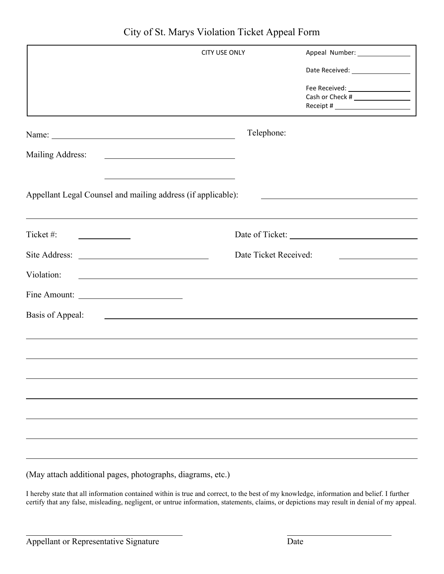|                                                                                   | <b>CITY USE ONLY</b>  |                                                                                                                                                                                                                                                                                                                 |
|-----------------------------------------------------------------------------------|-----------------------|-----------------------------------------------------------------------------------------------------------------------------------------------------------------------------------------------------------------------------------------------------------------------------------------------------------------|
|                                                                                   |                       | Date Received: __________________                                                                                                                                                                                                                                                                               |
|                                                                                   |                       | Fee Received: ____________________<br>Receipt # $\frac{1}{2}$ Receipt # $\frac{1}{2}$ Receipt # $\frac{1}{2}$ Receipt # $\frac{1}{2}$ Receipt # $\frac{1}{2}$ Receipt # $\frac{1}{2}$ Receipt # $\frac{1}{2}$ Receipt # $\frac{1}{2}$ Receipt # $\frac{1}{2}$ Receipt # $\frac{1}{2}$ Receipt # $\frac{1}{2}$ R |
|                                                                                   | Telephone:            |                                                                                                                                                                                                                                                                                                                 |
| Mailing Address:                                                                  |                       |                                                                                                                                                                                                                                                                                                                 |
| Appellant Legal Counsel and mailing address (if applicable):                      |                       |                                                                                                                                                                                                                                                                                                                 |
| Ticket#:                                                                          |                       |                                                                                                                                                                                                                                                                                                                 |
|                                                                                   | Date Ticket Received: |                                                                                                                                                                                                                                                                                                                 |
| Violation:<br><u> 1989 - Johann Stoff, amerikansk politiker (d. 1989)</u>         |                       |                                                                                                                                                                                                                                                                                                                 |
|                                                                                   |                       |                                                                                                                                                                                                                                                                                                                 |
| Basis of Appeal:<br><u> 1980 - Johann Barn, fransk politik formuler (d. 1980)</u> |                       |                                                                                                                                                                                                                                                                                                                 |
|                                                                                   |                       |                                                                                                                                                                                                                                                                                                                 |
|                                                                                   |                       |                                                                                                                                                                                                                                                                                                                 |
|                                                                                   |                       |                                                                                                                                                                                                                                                                                                                 |
|                                                                                   |                       |                                                                                                                                                                                                                                                                                                                 |
|                                                                                   |                       |                                                                                                                                                                                                                                                                                                                 |
|                                                                                   |                       |                                                                                                                                                                                                                                                                                                                 |

(May attach additional pages, photographs, diagrams, etc.)

I hereby state that all information contained within is true and correct, to the best of my knowledge, information and belief. I further certify that any false, misleading, negligent, or untrue information, statements, claims, or depictions may result in denial of my appeal.